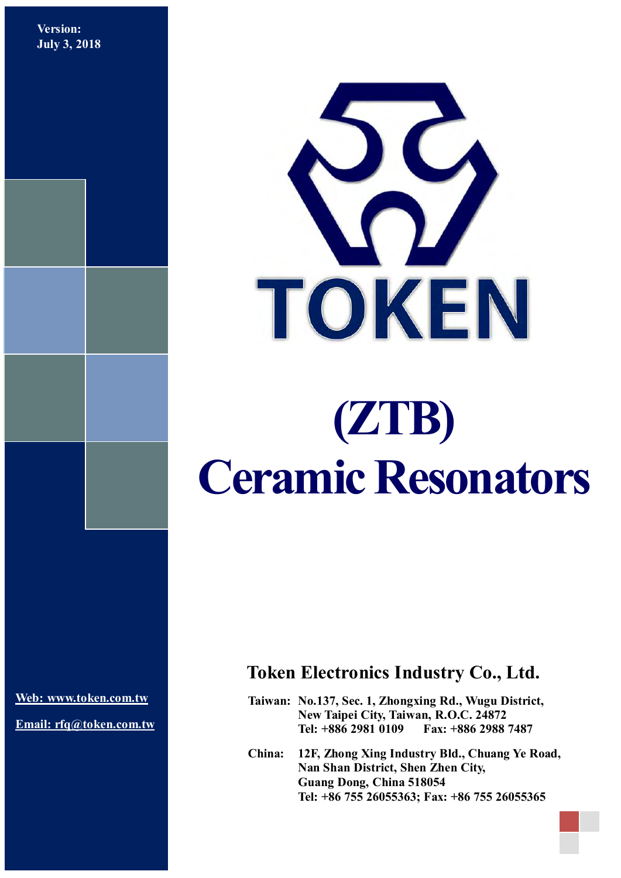**Version: July 3, 2018**



# **(ZTB) Ceramic Resonators**

**[Web: www.token.com.tw](http://www.token.com.tw/)**

**Email: rfq@token.com.tw**

## **Token Electronics Industry Co., Ltd.**

**Taiwan: No.137, Sec. 1, Zhongxing Rd., Wugu District, New Taipei City, Taiwan, R.O.C. 24872 Tel: +886 2981 0109 Fax: +886 2988 7487**

**China: 12F, Zhong Xing Industry Bld., Chuang Ye Road, Nan Shan District, Shen Zhen City, Guang Dong, China 518054 Tel: +86 755 26055363; Fax: +86 755 26055365**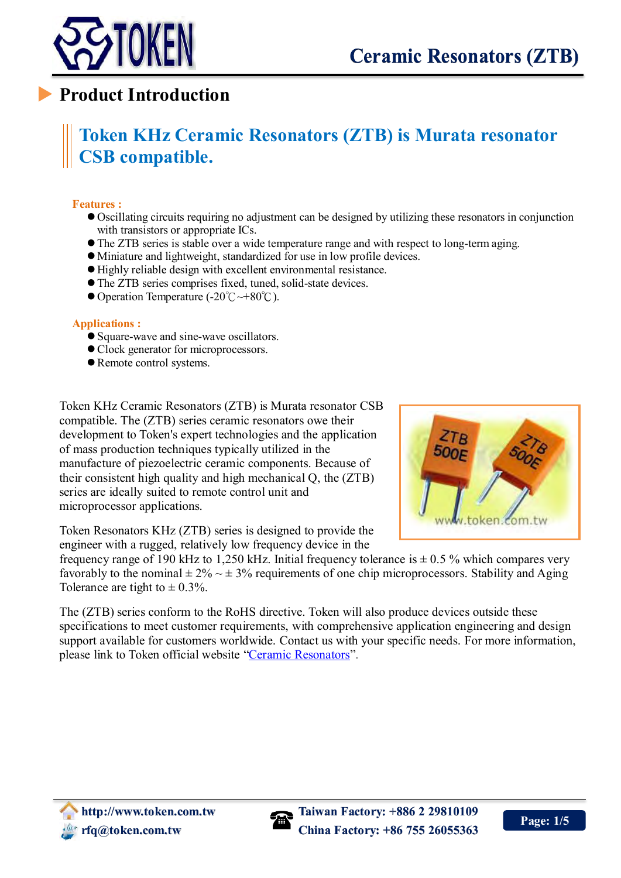

## **Product Introduction**

# **Token KHz Ceramic Resonators (ZTB) is Murata resonator CSB compatible.**

#### **Features :**

- Oscillating circuits requiring no adjustment can be designed by utilizing these resonators in conjunction with transistors or appropriate ICs.
- The ZTB series is stable over a wide temperature range and with respect to long-term aging.
- Miniature and lightweight, standardized for use in low profile devices.
- Highly reliable design with excellent environmental resistance.
- The ZTB series comprises fixed, tuned, solid-state devices.
- Operation Temperature (-20℃~+80℃).

#### **Applications :**

- Square-wave and sine-wave oscillators.
- Clock generator for microprocessors.
- Remote control systems.

Token KHz Ceramic Resonators (ZTB) is Murata resonator CSB compatible. The (ZTB) series ceramic resonators owe their development to Token's expert technologies and the application of mass production techniques typically utilized in the manufacture of piezoelectric ceramic components. Because of their consistent high quality and high mechanical Q, the (ZTB) series are ideally suited to remote control unit and microprocessor applications.



Token Resonators KHz (ZTB) series is designed to provide the engineer with a rugged, relatively low frequency device in the

frequency range of 190 kHz to 1,250 kHz. Initial frequency tolerance is  $\pm$  0.5 % which compares very favorably to the nominal  $\pm 2\% \sim \pm 3\%$  requirements of one chip microprocessors. Stability and Aging Tolerance are tight to  $\pm$  0.3%.

The (ZTB) series conform to the RoHS directive. Token will also produce devices outside these specifications to meet customer requirements, with comprehensive application engineering and design support available for customers worldwide. Contact us with your specific needs. For more information, please link to Token official website ["Ceramic Resonators"](http://www.token.com.tw/resonator/index.html).

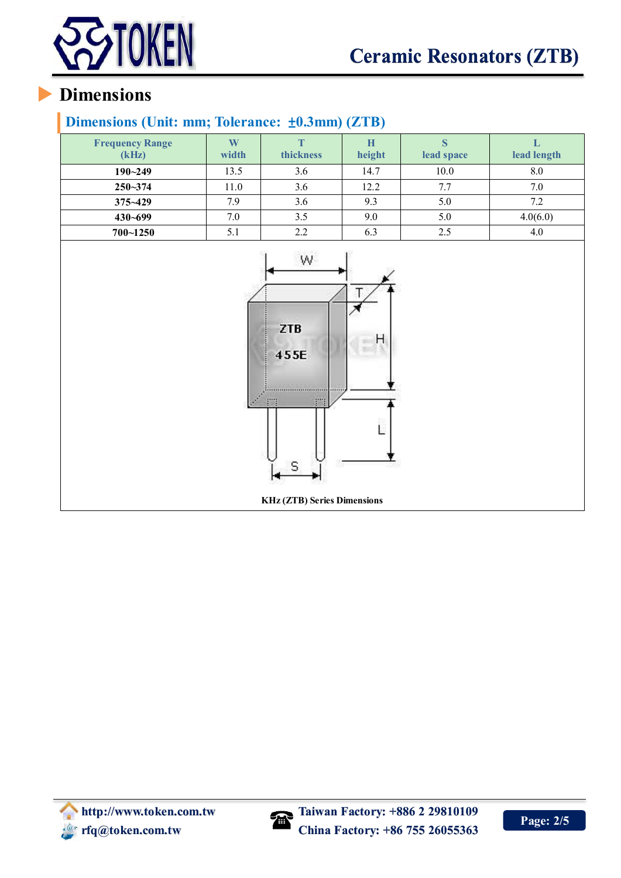

## **Dimensions**

## **Dimensions (Unit: mm; Tolerance:** ±**0.3mm) (ZTB)**

| <b>Frequency Range</b><br>(kHz) | W<br>width | m<br>thickness | Н<br>height | lead space | lead length |
|---------------------------------|------------|----------------|-------------|------------|-------------|
| $190 - 249$                     | 13.5       | 3.6            | 14.7        | 10.0       | 8.0         |
| $250 - 374$                     | 11.0       | 3.6            | 12.2        | 7.7        | 7.0         |
| $375 - 429$                     | 7.9        | 3.6            | 9.3         | 5.0        | 7.2         |
| $430 - 699$                     | 7.0        | 3.5            | 9.0         | 5.0        | 4.0(6.0)    |
| $700 - 1250$                    | 5.1        | 2.2            | 6.3         | 2.5        | 4.0         |



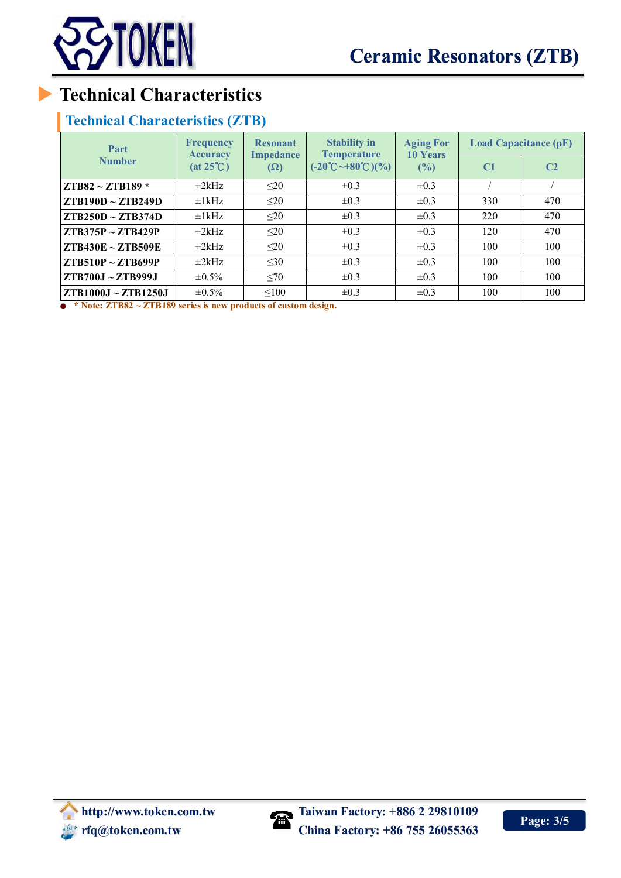

# **Technical Characteristics**

### **Technical Characteristics (ZTB)**

| Part<br><b>Number</b>    | <b>Frequency</b><br><b>Accuracy</b><br>$(at 25^{\circ}C)$ | <b>Resonant</b><br><b>Impedance</b><br>$(\Omega)$ | <b>Stability in</b><br><b>Temperature</b><br>$(-20^{\circ}\text{C}\rightarrow 80^{\circ}\text{C})(\%)$ | <b>Aging For</b><br><b>10 Years</b><br>(%) | <b>Load Capacitance (pF)</b> |                |
|--------------------------|-----------------------------------------------------------|---------------------------------------------------|--------------------------------------------------------------------------------------------------------|--------------------------------------------|------------------------------|----------------|
|                          |                                                           |                                                   |                                                                                                        |                                            | C <sub>1</sub>               | C <sub>2</sub> |
| $ZTB82 \sim ZTB189*$     | $\pm 2$ kHz                                               | $20$                                              | $\pm 0.3$                                                                                              | $\pm 0.3$                                  |                              |                |
| $ZTB190D \sim ZTB249D$   | $\pm$ 1kHz                                                | $\leq$ 20                                         | $\pm 0.3$                                                                                              | $\pm 0.3$                                  | 330                          | 470            |
| $ZTB250D \sim ZTB374D$   | $\pm$ 1kHz                                                | $\leq$ 20                                         | $\pm 0.3$                                                                                              | $\pm 0.3$                                  | 220                          | 470            |
| $ZTB375P \sim ZTB429P$   | $\pm 2$ kHz                                               | $\leq$ 20                                         | $\pm 0.3$                                                                                              | $\pm 0.3$                                  | 120                          | 470            |
| $ZTB430E \sim ZTB509E$   | $\pm 2$ kHz                                               | $\leq$ 20                                         | $\pm 0.3$                                                                                              | $\pm 0.3$                                  | 100                          | 100            |
| $ZTB510P \sim ZTB699P$   | $\pm 2$ kHz                                               | $30$                                              | $\pm 0.3$                                                                                              | $\pm 0.3$                                  | 100                          | 100            |
| ZTB700J~ZTB999J          | $\pm 0.5\%$                                               | <70                                               | $\pm 0.3$                                                                                              | $\pm 0.3$                                  | 100                          | 100            |
| $ZTB1000J \sim ZTB1250J$ | $\pm 0.5\%$                                               | < 100                                             | $\pm 0.3$                                                                                              | $\pm 0.3$                                  | 100                          | 100            |

**\* Note: ZTB82 ~ ZTB189 series is new products of custom design.**

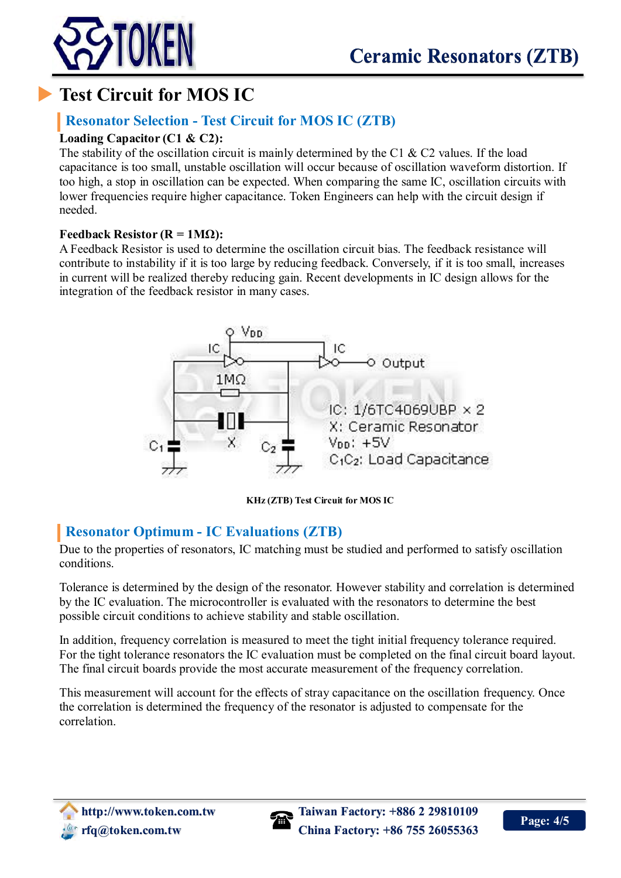



# **Test Circuit for MOS IC**

## **Resonator Selection - Test Circuit for MOS IC (ZTB)**

#### **Loading Capacitor (C1 & C2):**

The stability of the oscillation circuit is mainly determined by the C1  $\&$  C2 values. If the load capacitance is too small, unstable oscillation will occur because of oscillation waveform distortion. If too high, a stop in oscillation can be expected. When comparing the same IC, oscillation circuits with lower frequencies require higher capacitance. Token Engineers can help with the circuit design if needed.

#### **Feedback Resistor (** $R = 1M\Omega$ **):**

A Feedback Resistor is used to determine the oscillation circuit bias. The feedback resistance will contribute to instability if it is too large by reducing feedback. Conversely, if it is too small, increases in current will be realized thereby reducing gain. Recent developments in IC design allows for the integration of the feedback resistor in many cases.



**KHz (ZTB) Test Circuit for MOS IC**

### **Resonator Optimum - IC Evaluations (ZTB)**

Due to the properties of resonators, IC matching must be studied and performed to satisfy oscillation conditions.

Tolerance is determined by the design of the resonator. However stability and correlation is determined by the IC evaluation. The microcontroller is evaluated with the resonators to determine the best possible circuit conditions to achieve stability and stable oscillation.

In addition, frequency correlation is measured to meet the tight initial frequency tolerance required. For the tight tolerance resonators the IC evaluation must be completed on the final circuit board layout. The final circuit boards provide the most accurate measurement of the frequency correlation.

This measurement will account for the effects of stray capacitance on the oscillation frequency. Once the correlation is determined the frequency of the resonator is adjusted to compensate for the correlation.